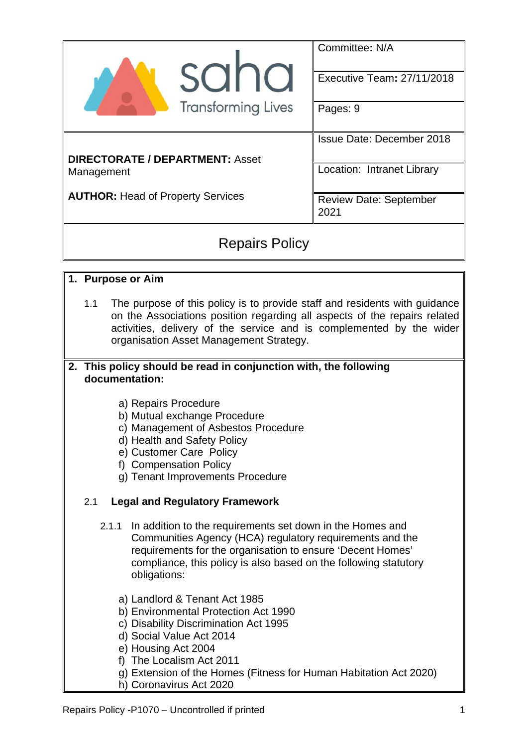|                                          | Committee: N/A                        |  |  |  |
|------------------------------------------|---------------------------------------|--|--|--|
| sana                                     | Executive Team: 27/11/2018            |  |  |  |
| <b>Transforming Lives</b>                | Pages: 9                              |  |  |  |
|                                          | <b>Issue Date: December 2018</b>      |  |  |  |
| <b>DIRECTORATE / DEPARTMENT: Asset</b>   |                                       |  |  |  |
| Management                               | Location: Intranet Library            |  |  |  |
| <b>AUTHOR: Head of Property Services</b> | <b>Review Date: September</b><br>2021 |  |  |  |
|                                          |                                       |  |  |  |

# Repairs Policy

### **1. Purpose or Aim**

1.1 The purpose of this policy is to provide staff and residents with guidance on the Associations position regarding all aspects of the repairs related activities, delivery of the service and is complemented by the wider organisation Asset Management Strategy.

#### **2. This policy should be read in conjunction with, the following documentation:**

- a) Repairs Procedure
- b) Mutual exchange Procedure
- c) Management of Asbestos Procedure
- d) Health and Safety Policy
- e) Customer Care Policy
- f) Compensation Policy
- g) Tenant Improvements Procedure

## 2.1 **Legal and Regulatory Framework**

- 2.1.1 In addition to the requirements set down in the Homes and Communities Agency (HCA) regulatory requirements and the requirements for the organisation to ensure 'Decent Homes' compliance, this policy is also based on the following statutory obligations:
	- a) Landlord & Tenant Act 1985
	- b) Environmental Protection Act 1990
	- c) Disability Discrimination Act 1995
	- d) Social Value Act 2014
	- e) Housing Act 2004
	- f) The Localism Act 2011
	- g) Extension of the Homes (Fitness for Human Habitation Act 2020)
	- h) Coronavirus Act 2020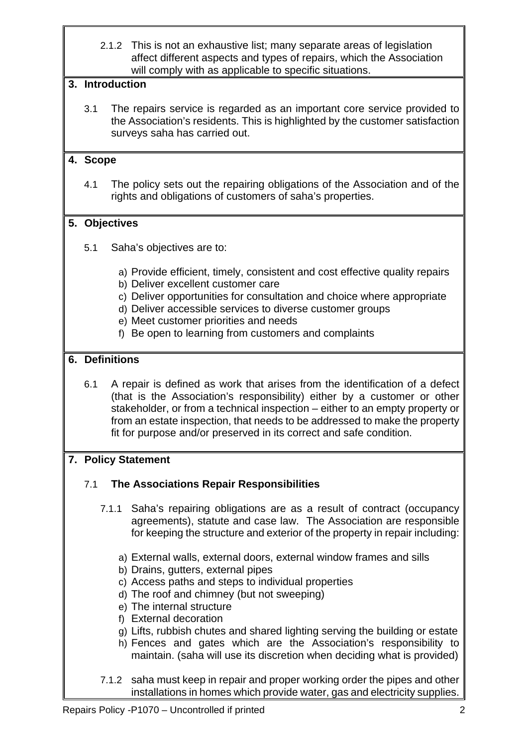2.1.2 This is not an exhaustive list; many separate areas of legislation affect different aspects and types of repairs, which the Association will comply with as applicable to specific situations.

### **3. Introduction**

3.1 The repairs service is regarded as an important core service provided to the Association's residents. This is highlighted by the customer satisfaction surveys saha has carried out.

### **4. Scope**

4.1 The policy sets out the repairing obligations of the Association and of the rights and obligations of customers of saha's properties.

### **5. Objectives**

- 5.1 Saha's objectives are to:
	- a) Provide efficient, timely, consistent and cost effective quality repairs
	- b) Deliver excellent customer care
	- c) Deliver opportunities for consultation and choice where appropriate
	- d) Deliver accessible services to diverse customer groups
	- e) Meet customer priorities and needs
	- f) Be open to learning from customers and complaints

### **6. Definitions**

6.1 A repair is defined as work that arises from the identification of a defect (that is the Association's responsibility) either by a customer or other stakeholder, or from a technical inspection – either to an empty property or from an estate inspection, that needs to be addressed to make the property fit for purpose and/or preserved in its correct and safe condition.

### **7. Policy Statement**

### 7.1 **The Associations Repair Responsibilities**

- 7.1.1 Saha's repairing obligations are as a result of contract (occupancy agreements), statute and case law. The Association are responsible for keeping the structure and exterior of the property in repair including:
	- a) External walls, external doors, external window frames and sills
	- b) Drains, gutters, external pipes
	- c) Access paths and steps to individual properties
	- d) The roof and chimney (but not sweeping)
	- e) The internal structure
	- f) External decoration
	- g) Lifts, rubbish chutes and shared lighting serving the building or estate
	- h) Fences and gates which are the Association's responsibility to maintain. (saha will use its discretion when deciding what is provided)
- 7.1.2 saha must keep in repair and proper working order the pipes and other installations in homes which provide water, gas and electricity supplies.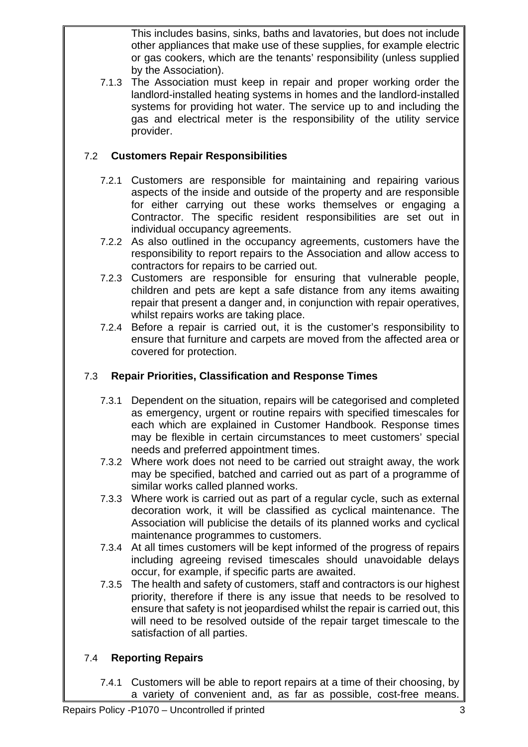This includes basins, sinks, baths and lavatories, but does not include other appliances that make use of these supplies, for example electric or gas cookers, which are the tenants' responsibility (unless supplied by the Association).

7.1.3 The Association must keep in repair and proper working order the landlord-installed heating systems in homes and the landlord-installed systems for providing hot water. The service up to and including the gas and electrical meter is the responsibility of the utility service provider.

# 7.2 **Customers Repair Responsibilities**

- 7.2.1 Customers are responsible for maintaining and repairing various aspects of the inside and outside of the property and are responsible for either carrying out these works themselves or engaging a Contractor. The specific resident responsibilities are set out in individual occupancy agreements.
- 7.2.2 As also outlined in the occupancy agreements, customers have the responsibility to report repairs to the Association and allow access to contractors for repairs to be carried out.
- 7.2.3 Customers are responsible for ensuring that vulnerable people, children and pets are kept a safe distance from any items awaiting repair that present a danger and, in conjunction with repair operatives, whilst repairs works are taking place.
- 7.2.4 Before a repair is carried out, it is the customer's responsibility to ensure that furniture and carpets are moved from the affected area or covered for protection.

# 7.3 **Repair Priorities, Classification and Response Times**

- 7.3.1 Dependent on the situation, repairs will be categorised and completed as emergency, urgent or routine repairs with specified timescales for each which are explained in Customer Handbook. Response times may be flexible in certain circumstances to meet customers' special needs and preferred appointment times.
- 7.3.2 Where work does not need to be carried out straight away, the work may be specified, batched and carried out as part of a programme of similar works called planned works.
- 7.3.3 Where work is carried out as part of a regular cycle, such as external decoration work, it will be classified as cyclical maintenance. The Association will publicise the details of its planned works and cyclical maintenance programmes to customers.
- 7.3.4 At all times customers will be kept informed of the progress of repairs including agreeing revised timescales should unavoidable delays occur, for example, if specific parts are awaited.
- 7.3.5 The health and safety of customers, staff and contractors is our highest priority, therefore if there is any issue that needs to be resolved to ensure that safety is not jeopardised whilst the repair is carried out, this will need to be resolved outside of the repair target timescale to the satisfaction of all parties.

# 7.4 **Reporting Repairs**

7.4.1 Customers will be able to report repairs at a time of their choosing, by a variety of convenient and, as far as possible, cost-free means.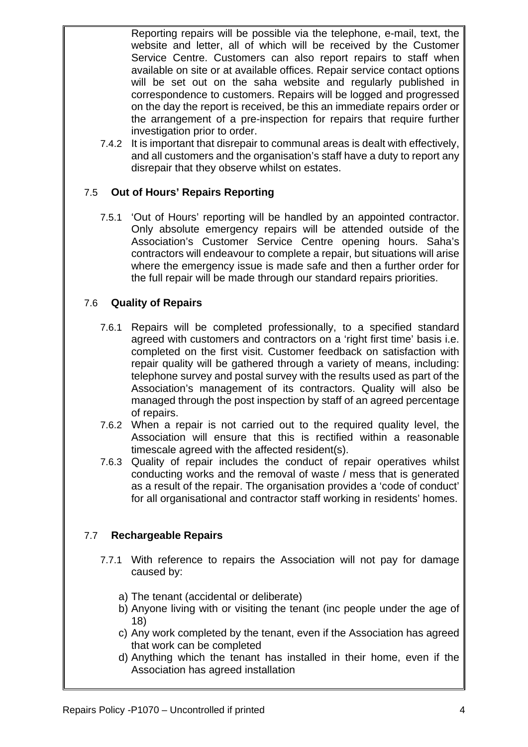Reporting repairs will be possible via the telephone, e-mail, text, the website and letter, all of which will be received by the Customer Service Centre. Customers can also report repairs to staff when available on site or at available offices. Repair service contact options will be set out on the saha website and regularly published in correspondence to customers. Repairs will be logged and progressed on the day the report is received, be this an immediate repairs order or the arrangement of a pre-inspection for repairs that require further investigation prior to order.

7.4.2 It is important that disrepair to communal areas is dealt with effectively, and all customers and the organisation's staff have a duty to report any disrepair that they observe whilst on estates.

### 7.5 **Out of Hours' Repairs Reporting**

7.5.1 'Out of Hours' reporting will be handled by an appointed contractor. Only absolute emergency repairs will be attended outside of the Association's Customer Service Centre opening hours. Saha's contractors will endeavour to complete a repair, but situations will arise where the emergency issue is made safe and then a further order for the full repair will be made through our standard repairs priorities.

#### 7.6 **Quality of Repairs**

- 7.6.1 Repairs will be completed professionally, to a specified standard agreed with customers and contractors on a 'right first time' basis i.e. completed on the first visit. Customer feedback on satisfaction with repair quality will be gathered through a variety of means, including: telephone survey and postal survey with the results used as part of the Association's management of its contractors. Quality will also be managed through the post inspection by staff of an agreed percentage of repairs.
- 7.6.2 When a repair is not carried out to the required quality level, the Association will ensure that this is rectified within a reasonable timescale agreed with the affected resident(s).
- 7.6.3 Quality of repair includes the conduct of repair operatives whilst conducting works and the removal of waste / mess that is generated as a result of the repair. The organisation provides a 'code of conduct' for all organisational and contractor staff working in residents' homes.

### 7.7 **Rechargeable Repairs**

- 7.7.1 With reference to repairs the Association will not pay for damage caused by:
	- a) The tenant (accidental or deliberate)
	- b) Anyone living with or visiting the tenant (inc people under the age of 18)
	- c) Any work completed by the tenant, even if the Association has agreed that work can be completed
	- d) Anything which the tenant has installed in their home, even if the Association has agreed installation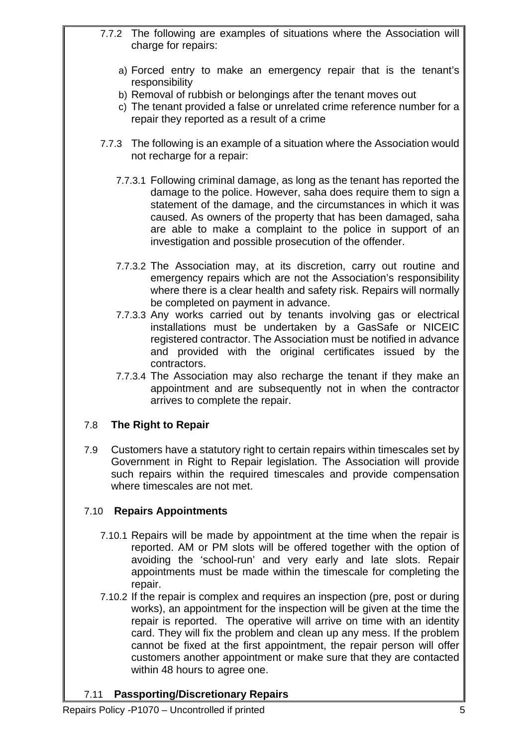- 7.7.2 The following are examples of situations where the Association will charge for repairs:
	- a) Forced entry to make an emergency repair that is the tenant's responsibility
	- b) Removal of rubbish or belongings after the tenant moves out
	- c) The tenant provided a false or unrelated crime reference number for a repair they reported as a result of a crime
- 7.7.3 The following is an example of a situation where the Association would not recharge for a repair:
	- 7.7.3.1 Following criminal damage, as long as the tenant has reported the damage to the police. However, saha does require them to sign a statement of the damage, and the circumstances in which it was caused. As owners of the property that has been damaged, saha are able to make a complaint to the police in support of an investigation and possible prosecution of the offender.
	- 7.7.3.2 The Association may, at its discretion, carry out routine and emergency repairs which are not the Association's responsibility where there is a clear health and safety risk. Repairs will normally be completed on payment in advance.
	- 7.7.3.3 Any works carried out by tenants involving gas or electrical installations must be undertaken by a GasSafe or NICEIC registered contractor. The Association must be notified in advance and provided with the original certificates issued by the contractors.
	- 7.7.3.4 The Association may also recharge the tenant if they make an appointment and are subsequently not in when the contractor arrives to complete the repair.

## 7.8 **The Right to Repair**

7.9 Customers have a statutory right to certain repairs within timescales set by Government in Right to Repair legislation. The Association will provide such repairs within the required timescales and provide compensation where timescales are not met.

## 7.10 **Repairs Appointments**

- 7.10.1 Repairs will be made by appointment at the time when the repair is reported. AM or PM slots will be offered together with the option of avoiding the 'school-run' and very early and late slots. Repair appointments must be made within the timescale for completing the repair.
- 7.10.2 If the repair is complex and requires an inspection (pre, post or during works), an appointment for the inspection will be given at the time the repair is reported. The operative will arrive on time with an identity card. They will fix the problem and clean up any mess. If the problem cannot be fixed at the first appointment, the repair person will offer customers another appointment or make sure that they are contacted within 48 hours to agree one.

### 7.11 **Passporting/Discretionary Repairs**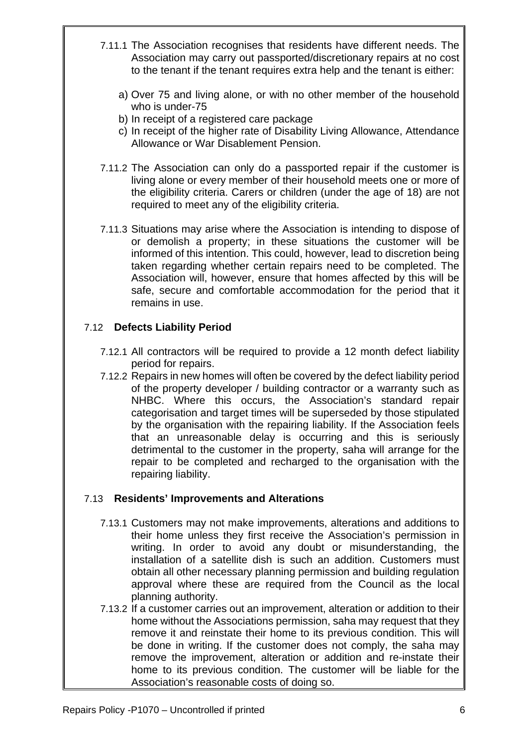- 7.11.1 The Association recognises that residents have different needs. The Association may carry out passported/discretionary repairs at no cost to the tenant if the tenant requires extra help and the tenant is either:
	- a) Over 75 and living alone, or with no other member of the household who is under-75
	- b) In receipt of a registered care package
	- c) In receipt of the higher rate of Disability Living Allowance, Attendance Allowance or War Disablement Pension.
- 7.11.2 The Association can only do a passported repair if the customer is living alone or every member of their household meets one or more of the eligibility criteria. Carers or children (under the age of 18) are not required to meet any of the eligibility criteria.
- 7.11.3 Situations may arise where the Association is intending to dispose of or demolish a property; in these situations the customer will be informed of this intention. This could, however, lead to discretion being taken regarding whether certain repairs need to be completed. The Association will, however, ensure that homes affected by this will be safe, secure and comfortable accommodation for the period that it remains in use.

## 7.12 **Defects Liability Period**

- 7.12.1 All contractors will be required to provide a 12 month defect liability period for repairs.
- 7.12.2 Repairs in new homes will often be covered by the defect liability period of the property developer / building contractor or a warranty such as NHBC. Where this occurs, the Association's standard repair categorisation and target times will be superseded by those stipulated by the organisation with the repairing liability. If the Association feels that an unreasonable delay is occurring and this is seriously detrimental to the customer in the property, saha will arrange for the repair to be completed and recharged to the organisation with the repairing liability.

### 7.13 **Residents' Improvements and Alterations**

- 7.13.1 Customers may not make improvements, alterations and additions to their home unless they first receive the Association's permission in writing. In order to avoid any doubt or misunderstanding, the installation of a satellite dish is such an addition. Customers must obtain all other necessary planning permission and building regulation approval where these are required from the Council as the local planning authority.
- 7.13.2 If a customer carries out an improvement, alteration or addition to their home without the Associations permission, saha may request that they remove it and reinstate their home to its previous condition. This will be done in writing. If the customer does not comply, the saha may remove the improvement, alteration or addition and re-instate their home to its previous condition. The customer will be liable for the Association's reasonable costs of doing so.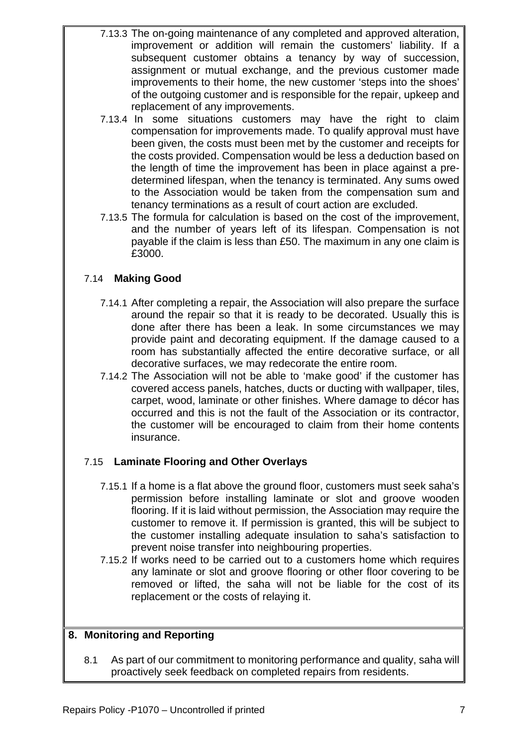- 7.13.3 The on-going maintenance of any completed and approved alteration, improvement or addition will remain the customers' liability. If a subsequent customer obtains a tenancy by way of succession, assignment or mutual exchange, and the previous customer made improvements to their home, the new customer 'steps into the shoes' of the outgoing customer and is responsible for the repair, upkeep and replacement of any improvements.
- 7.13.4 In some situations customers may have the right to claim compensation for improvements made. To qualify approval must have been given, the costs must been met by the customer and receipts for the costs provided. Compensation would be less a deduction based on the length of time the improvement has been in place against a predetermined lifespan, when the tenancy is terminated. Any sums owed to the Association would be taken from the compensation sum and tenancy terminations as a result of court action are excluded.
- 7.13.5 The formula for calculation is based on the cost of the improvement, and the number of years left of its lifespan. Compensation is not payable if the claim is less than £50. The maximum in any one claim is £3000.

## 7.14 **Making Good**

- 7.14.1 After completing a repair, the Association will also prepare the surface around the repair so that it is ready to be decorated. Usually this is done after there has been a leak. In some circumstances we may provide paint and decorating equipment. If the damage caused to a room has substantially affected the entire decorative surface, or all decorative surfaces, we may redecorate the entire room.
- 7.14.2 The Association will not be able to 'make good' if the customer has covered access panels, hatches, ducts or ducting with wallpaper, tiles, carpet, wood, laminate or other finishes. Where damage to décor has occurred and this is not the fault of the Association or its contractor, the customer will be encouraged to claim from their home contents insurance.

## 7.15 **Laminate Flooring and Other Overlays**

- 7.15.1 If a home is a flat above the ground floor, customers must seek saha's permission before installing laminate or slot and groove wooden flooring. If it is laid without permission, the Association may require the customer to remove it. If permission is granted, this will be subject to the customer installing adequate insulation to saha's satisfaction to prevent noise transfer into neighbouring properties.
- 7.15.2 If works need to be carried out to a customers home which requires any laminate or slot and groove flooring or other floor covering to be removed or lifted, the saha will not be liable for the cost of its replacement or the costs of relaying it.

### **8. Monitoring and Reporting**

8.1 As part of our commitment to monitoring performance and quality, saha will proactively seek feedback on completed repairs from residents.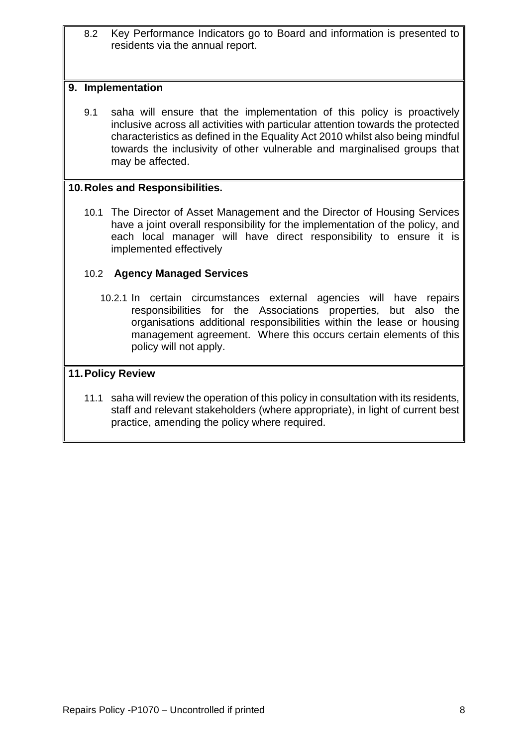8.2 Key Performance Indicators go to Board and information is presented to residents via the annual report.

#### **9. Implementation**

9.1 saha will ensure that the implementation of this policy is proactively inclusive across all activities with particular attention towards the protected characteristics as defined in the Equality Act 2010 whilst also being mindful towards the inclusivity of other vulnerable and marginalised groups that may be affected.

#### **10. Roles and Responsibilities.**

10.1 The Director of Asset Management and the Director of Housing Services have a joint overall responsibility for the implementation of the policy, and each local manager will have direct responsibility to ensure it is implemented effectively

#### 10.2 **Agency Managed Services**

10.2.1 In certain circumstances external agencies will have repairs responsibilities for the Associations properties, but also the organisations additional responsibilities within the lease or housing management agreement. Where this occurs certain elements of this policy will not apply.

### **11. Policy Review**

11.1 saha will review the operation of this policy in consultation with its residents, staff and relevant stakeholders (where appropriate), in light of current best practice, amending the policy where required.